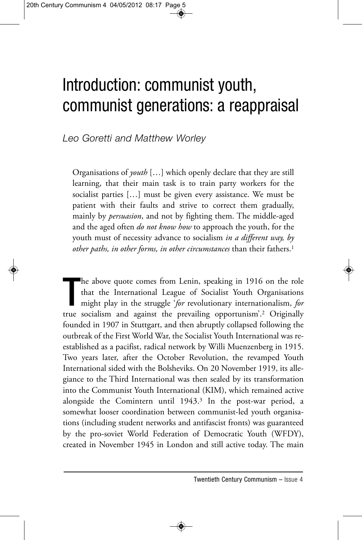## Introduction: communist youth, communist generations: a reappraisal

*Leo Goretti and Matthew Worley*

Organisations of *youth* […] which openly declare that they are still learning, that their main task is to train party workers for the socialist parties […] must be given every assistance. We must be patient with their faults and strive to correct them gradually, mainly by *persuasion*, and not by fighting them. The middle-aged and the aged often *do not know how* to approach the youth, for the youth must of necessity advance to socialism *in a different way, by other paths, in other forms, in other circumstances* than their fathers.1

The above quote comes from Lenin, speaking in 1916 on the role that the International League of Socialist Youth Organisations might play in the struggle 'for revolutionary internationalism, for true socialism and against t he above quote comes from Lenin, speaking in 1916 on the role that the International League of Socialist Youth Organisations might play in the struggle '*for* revolutionary internationalism, *for* founded in 1907 in Stuttgart, and then abruptly collapsed following the outbreak of the First World War, the Socialist Youth International was reestablished as a pacifist, radical network by Willi Muenzenberg in 1915. Two years later, after the October Revolution, the revamped Youth International sided with the Bolsheviks. On 20 November 1919, its allegiance to the Third International was then sealed by its transformation into the Communist Youth International (KIM), which remained active alongside the Comintern until 1943.3 In the post-war period, a somewhat looser coordination between communist-led youth organisations (including student networks and antifascist fronts) was guaranteed by the pro-soviet World Federation of Democratic Youth (WFDY), created in November 1945 in London and still active today. The main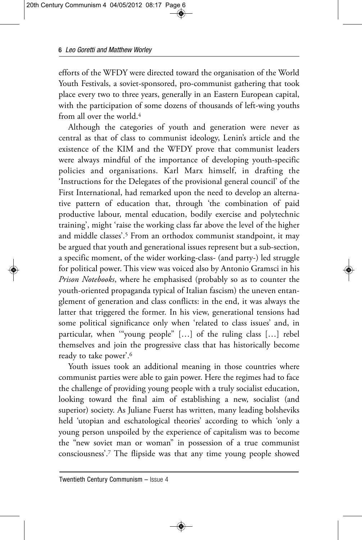efforts of the WFDY were directed toward the organisation of the World Youth Festivals, a soviet-sponsored, pro-communist gathering that took place every two to three years, generally in an Eastern European capital, with the participation of some dozens of thousands of left-wing youths from all over the world.4

Although the categories of youth and generation were never as central as that of class to communist ideology, Lenin's article and the existence of the KIM and the WFDY prove that communist leaders were always mindful of the importance of developing youth-specific policies and organisations. Karl Marx himself, in drafting the 'Instructions for the Delegates of the provisional general council' of the First International, had remarked upon the need to develop an alternative pattern of education that, through 'the combination of paid productive labour, mental education, bodily exercise and polytechnic training', might 'raise the working class far above the level of the higher and middle classes'.5 From an orthodox communist standpoint, it may be argued that youth and generational issues represent but a sub-section, a specific moment, of the wider working-class- (and party-) led struggle for political power. This view was voiced also by Antonio Gramsci in his *Prison Notebooks*, where he emphasised (probably so as to counter the youth-oriented propaganda typical of Italian fascism) the uneven entanglement of generation and class conflicts: in the end, it was always the latter that triggered the former. In his view, generational tensions had some political significance only when 'related to class issues' and, in particular, when '"young people" […] of the ruling class […] rebel themselves and join the progressive class that has historically become ready to take power'.6

Youth issues took an additional meaning in those countries where communist parties were able to gain power. Here the regimes had to face the challenge of providing young people with a truly socialist education, looking toward the final aim of establishing a new, socialist (and superior) society. As Juliane Fuerst has written, many leading bolsheviks held 'utopian and eschatological theories' according to which 'only a young person unspoiled by the experience of capitalism was to become the "new soviet man or woman" in possession of a true communist consciousness'.7 The flipside was that any time young people showed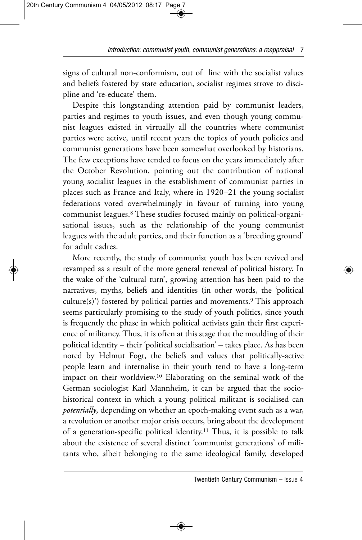signs of cultural non-conformism, out of line with the socialist values and beliefs fostered by state education, socialist regimes strove to discipline and 're-educate' them.

Despite this longstanding attention paid by communist leaders, parties and regimes to youth issues, and even though young communist leagues existed in virtually all the countries where communist parties were active, until recent years the topics of youth policies and communist generations have been somewhat overlooked by historians. The few exceptions have tended to focus on the years immediately after the October Revolution, pointing out the contribution of national young socialist leagues in the establishment of communist parties in places such as France and Italy, where in 1920–21 the young socialist federations voted overwhelmingly in favour of turning into young communist leagues.8 These studies focused mainly on political-organisational issues, such as the relationship of the young communist leagues with the adult parties, and their function as a 'breeding ground' for adult cadres.

More recently, the study of communist youth has been revived and revamped as a result of the more general renewal of political history. In the wake of the 'cultural turn', growing attention has been paid to the narratives, myths, beliefs and identities (in other words, the 'political culture(s)') fostered by political parties and movements.<sup>9</sup> This approach seems particularly promising to the study of youth politics, since youth is frequently the phase in which political activists gain their first experience of militancy. Thus, it is often at this stage that the moulding of their political identity – their 'political socialisation' – takes place. As has been noted by Helmut Fogt, the beliefs and values that politically-active people learn and internalise in their youth tend to have a long-term impact on their worldview.10 Elaborating on the seminal work of the German sociologist Karl Mannheim, it can be argued that the sociohistorical context in which a young political militant is socialised can *potentially*, depending on whether an epoch-making event such as a war, a revolution or another major crisis occurs, bring about the development of a generation-specific political identity.11 Thus, it is possible to talk about the existence of several distinct 'communist generations' of militants who, albeit belonging to the same ideological family, developed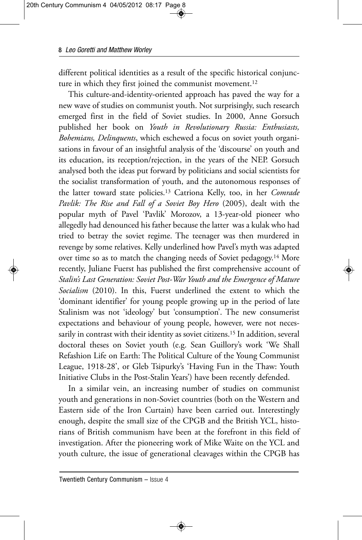different political identities as a result of the specific historical conjuncture in which they first joined the communist movement.<sup>12</sup>

This culture-and-identity-oriented approach has paved the way for a new wave of studies on communist youth. Not surprisingly, such research emerged first in the field of Soviet studies. In 2000, Anne Gorsuch published her book on *Youth in Revolutionary Russia: Enthusiasts, Bohemians, Delinquents*, which eschewed a focus on soviet youth organisations in favour of an insightful analysis of the 'discourse' on youth and its education, its reception/rejection, in the years of the NEP. Gorsuch analysed both the ideas put forward by politicians and social scientists for the socialist transformation of youth, and the autonomous responses of the latter toward state policies.13 Catriona Kelly, too, in her *Comrade Pavlik: The Rise and Fall of a Soviet Boy Hero* (2005), dealt with the popular myth of Pavel 'Pavlik' Morozov, a 13-year-old pioneer who allegedly had denounced his father because the latter was a kulak who had tried to betray the soviet regime. The teenager was then murdered in revenge by some relatives. Kelly underlined how Pavel's myth was adapted over time so as to match the changing needs of Soviet pedagogy.14 More recently, Juliane Fuerst has published the first comprehensive account of *Stalin's Last Generation: Soviet Post-War Youth and the Emergence of Mature Socialism* (2010). In this, Fuerst underlined the extent to which the 'dominant identifier' for young people growing up in the period of late Stalinism was not 'ideology' but 'consumption'. The new consumerist expectations and behaviour of young people, however, were not necessarily in contrast with their identity as soviet citizens.<sup>15</sup> In addition, several doctoral theses on Soviet youth (e.g. Sean Guillory's work 'We Shall Refashion Life on Earth: The Political Culture of the Young Communist League, 1918-28', or Gleb Tsipurky's 'Having Fun in the Thaw: Youth Initiative Clubs in the Post-Stalin Years') have been recently defended.

In a similar vein, an increasing number of studies on communist youth and generations in non-Soviet countries (both on the Western and Eastern side of the Iron Curtain) have been carried out. Interestingly enough, despite the small size of the CPGB and the British YCL, historians of British communism have been at the forefront in this field of investigation. After the pioneering work of Mike Waite on the YCL and youth culture, the issue of generational cleavages within the CPGB has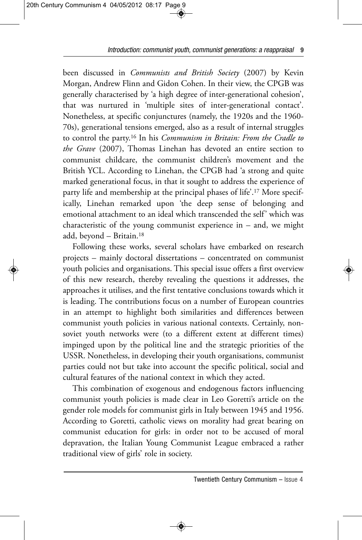*Introduction: communist youth, communist generations: a reappraisal* 9

been discussed in *Communists and British Society* (2007) by Kevin Morgan, Andrew Flinn and Gidon Cohen. In their view, the CPGB was generally characterised by 'a high degree of inter-generational cohesion', that was nurtured in 'multiple sites of inter-generational contact'. Nonetheless, at specific conjunctures (namely, the 1920s and the 1960- 70s), generational tensions emerged, also as a result of internal struggles to control the party.16 In his *Communism in Britain: From the Cradle to the Grave* (2007), Thomas Linehan has devoted an entire section to communist childcare, the communist children's movement and the British YCL. According to Linehan, the CPGB had 'a strong and quite marked generational focus, in that it sought to address the experience of party life and membership at the principal phases of life'.17 More specifically, Linehan remarked upon 'the deep sense of belonging and emotional attachment to an ideal which transcended the self' which was characteristic of the young communist experience in  $-$  and, we might add, beyond – Britain.18

Following these works, several scholars have embarked on research projects – mainly doctoral dissertations – concentrated on communist youth policies and organisations. This special issue offers a first overview of this new research, thereby revealing the questions it addresses, the approaches it utilises, and the first tentative conclusions towards which it is leading. The contributions focus on a number of European countries in an attempt to highlight both similarities and differences between communist youth policies in various national contexts. Certainly, nonsoviet youth networks were (to a different extent at different times) impinged upon by the political line and the strategic priorities of the USSR. Nonetheless, in developing their youth organisations, communist parties could not but take into account the specific political, social and cultural features of the national context in which they acted.

This combination of exogenous and endogenous factors influencing communist youth policies is made clear in Leo Goretti's article on the gender role models for communist girls in Italy between 1945 and 1956. According to Goretti, catholic views on morality had great bearing on communist education for girls: in order not to be accused of moral depravation, the Italian Young Communist League embraced a rather traditional view of girls' role in society.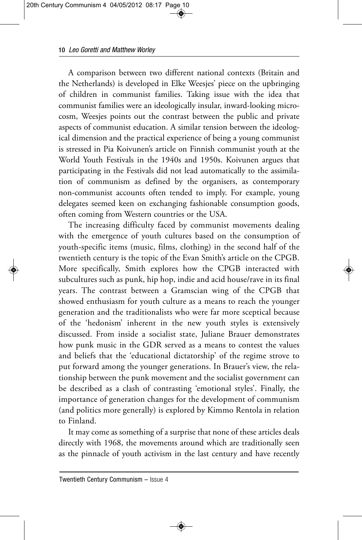## 10 *Leo Goretti and Matthew Worley*

A comparison between two different national contexts (Britain and the Netherlands) is developed in Elke Weesjes' piece on the upbringing of children in communist families. Taking issue with the idea that communist families were an ideologically insular, inward-looking microcosm, Weesjes points out the contrast between the public and private aspects of communist education. A similar tension between the ideological dimension and the practical experience of being a young communist is stressed in Pia Koivunen's article on Finnish communist youth at the World Youth Festivals in the 1940s and 1950s. Koivunen argues that participating in the Festivals did not lead automatically to the assimilation of communism as defined by the organisers, as contemporary non-communist accounts often tended to imply. For example, young delegates seemed keen on exchanging fashionable consumption goods, often coming from Western countries or the USA.

The increasing difficulty faced by communist movements dealing with the emergence of youth cultures based on the consumption of youth-specific items (music, films, clothing) in the second half of the twentieth century is the topic of the Evan Smith's article on the CPGB. More specifically, Smith explores how the CPGB interacted with subcultures such as punk, hip hop, indie and acid house/rave in its final years. The contrast between a Gramscian wing of the CPGB that showed enthusiasm for youth culture as a means to reach the younger generation and the traditionalists who were far more sceptical because of the 'hedonism' inherent in the new youth styles is extensively discussed. From inside a socialist state, Juliane Brauer demonstrates how punk music in the GDR served as a means to contest the values and beliefs that the 'educational dictatorship' of the regime strove to put forward among the younger generations. In Brauer's view, the relationship between the punk movement and the socialist government can be described as a clash of contrasting 'emotional styles'. Finally, the importance of generation changes for the development of communism (and politics more generally) is explored by Kimmo Rentola in relation to Finland.

It may come as something of a surprise that none of these articles deals directly with 1968, the movements around which are traditionally seen as the pinnacle of youth activism in the last century and have recently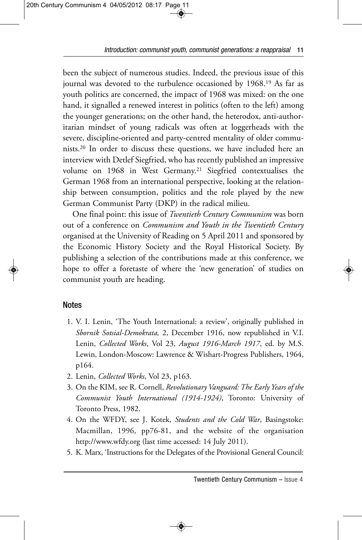been the subject of numerous studies. Indeed, the previous issue of this journal was devoted to the turbulence occasioned by 1968.19 As far as youth politics are concerned, the impact of 1968 was mixed: on the one hand, it signalled a renewed interest in politics (often to the left) among the younger generations; on the other hand, the heterodox, anti-authoritarian mindset of young radicals was often at loggerheads with the severe, discipline-oriented and party-centred mentality of older communists.20 In order to discuss these questions, we have included here an interview with Detlef Siegfried, who has recently published an impressive volume on 1968 in West Germany.21 Siegfried contextualises the German 1968 from an international perspective, looking at the relationship between consumption, politics and the role played by the new German Communist Party (DKP) in the radical milieu.

One final point: this issue of *Twentieth Century Communism* was born out of a conference on *Communism and Youth in the Twentieth Century* organised at the University of Reading on 5 April 2011 and sponsored by the Economic History Society and the Royal Historical Society. By publishing a selection of the contributions made at this conference, we hope to offer a foretaste of where the 'new generation' of studies on communist youth are heading.

## **Notes**

- 1. V. I. Lenin, 'The Youth International: a review', originally published in *Sbornik Sotsial-Demokrata,* 2, December 1916, now republished in V.I. Lenin, *Collected Works*, Vol 23, *August 1916-March 1917*, ed. by M.S. Lewin, London-Moscow: Lawrence & Wishart-Progress Publishers, 1964, p164.
- 2. Lenin, *Collected Works*, Vol 23, p163.
- 3. On the KIM, see R. Cornell, *Revolutionary Vanguard: The Early Years of the Communist Youth International (1914-1924)*, Toronto: University of Toronto Press, 1982.
- 4. On the WFDY, see J. Kotek, *Students and the Cold War*, Basingstoke: Macmillan, 1996, pp76-81, and the website of the organisation http://www.wfdy.org (last time accessed: 14 July 2011).
- 5. K. Marx, 'Instructions for the Delegates of the Provisional General Council: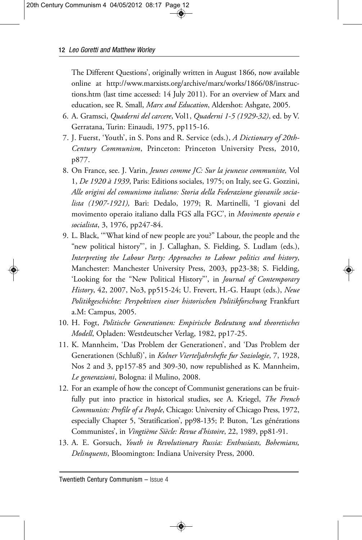## 12 *Leo Goretti and Matthew Worley*

The Different Questions', originally written in August 1866, now available online at http://www.marxists.org/archive/marx/works/1866/08/instructions.htm (last time accessed: 14 July 2011). For an overview of Marx and education, see R. Small, *Marx and Education*, Aldershot: Ashgate, 2005.

- 6. A. Gramsci, *Quaderni del carcere*, Vol1, *Quaderni 1-5 (1929-32)*, ed. by V. Gerratana, Turin: Einaudi, 1975, pp115*-*16.
- 7. J. Fuerst, 'Youth', in S. Pons and R. Service (eds.), *A Dictionary of 20th-Century Communism*, Princeton: Princeton University Press, 2010, p877.
- 8. On France, see. J. Varin, *Jeunes comme JC: Sur la jeunesse communiste,* Vol 1, *De 1920 à 1939*, Paris: Editions sociales, 1975; on Italy, see G. Gozzini, *Alle origini del comunismo italiano: Storia della Federazione giovanile socialista (1907-1921),* Bari: Dedalo, 1979; R. Martinelli, 'I giovani del movimento operaio italiano dalla FGS alla FGC', in *Movimento operaio e socialista*, 3, 1976, pp247*-*84.
- 9. L. Black, '"What kind of new people are you?" Labour, the people and the "new political history"', in J. Callaghan, S. Fielding, S. Ludlam (eds.), *Interpreting the Labour Party: Approaches to Labour politics and history*, Manchester: Manchester University Press, 2003, pp23*-*38; S. Fielding, 'Looking for the "New Political History"', in *Journal of Contemporary History*, 42, 2007, No3, pp515*-*24; U. Frevert, H.-G. Haupt (eds.), *Neue Politikgeschichte: Perspektiven einer historischen Politikforschung* Frankfurt a.M: Campus, 2005.
- 10. H. Fogt, *Politische Generationen: Empirische Bedeutung und theoretisches Modell*, Opladen: Westdeutscher Verlag, 1982, pp17*-*25.
- 11. K. Mannheim, 'Das Problem der Generationen', and 'Das Problem der Generationen (Schluß)', in *Kolner Vierteljahrshefte fur Soziologie*, 7, 1928, Nos 2 and 3, pp157*-*85 and 309*-*30, now republished as K. Mannheim, *Le generazioni*, Bologna: il Mulino, 2008.
- 12. For an example of how the concept of Communist generations can be fruitfully put into practice in historical studies, see A. Kriegel, *The French Communists: Profile of a People*, Chicago: University of Chicago Press, 1972, especially Chapter 5, 'Stratification', pp98-135; P. Buton, 'Les générations Communistes', in *Vingtième Siècle: Revue d'histoire*, 22, 1989, pp81*-*91.
- 13. A. E. Gorsuch, *Youth in Revolutionary Russia: Enthusiasts, Bohemians, Delinquents*, Bloomington: Indiana University Press, 2000.